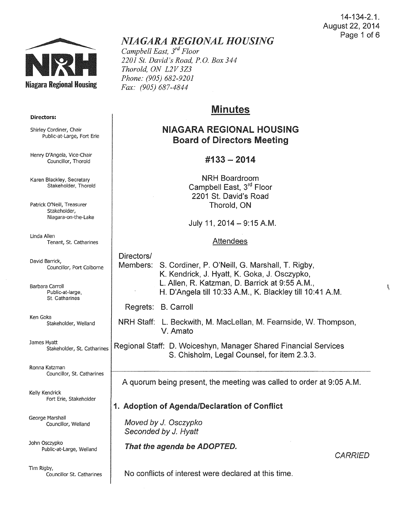

# *NIAGARA REGIONAL HOUSING*

*Campbell East, 3rd Floor 2201 St. David's Road, P.O. Box 344 Thorold, ON L2V 3Z3 Phone: (905) 682-9201 Fax: (905) 687-4844* 

# Minutes

# NIAGARA REGIONAL HOUSING Board of Directors Meeting

## $\text{\#}133 - 2014$

NRH Boardroom Campbell East, 3<sup>rd</sup> Floor 2201 St. David's Road Thorold, ON

July 11, 2014-9:15 A.M.

### Attendees

Directors/ Members: S. Cordiner, P. O'Neill, G. Marshall, T. Rigby, K. Kendrick, J. Hyatt, K. Goka, J. Osczypko, L. Allen, R. Katzman, D. Barrick at 9:55A.M., H. D'Angela till 10:33 A.M., K. Blackley till 10:41 A.M.

Regrets: B. Carroll

NRH Staff: L. Beckwith, M. MacLellan, M. Fearnside, W. Thompson, V. Amato

James Hyatt Stakeholder, St. Catharines Regional Staff: D. Woiceshyn, Manager Shared Financial Services S. Chisholm, Legal Counsel, for item 2.3.3.

A quorum being present, the meeting was called to order at 9:05A.M.

# 1. Adoption of Agenda/Declaration of Conflict

Moved by J. Osczypko Seconded by *J.* Hyatt

That the agenda be ADOPTED.

No conflicts of interest were declared at this time.

#### Directors:

Shirley Cordiner, Chair Public-at-Large, Fort Erie

Henry D'Angela, Vice-Chair Councillor, Thorold

Karen Blackley, Secretary Stakeholder, Thorold

Patrick O'Neill, Treasurer Stakeholder, Niagara-on-the-Lake

Linda Allen Tenant, St. Catharines

David Barrick, Councillor, Port Colborne

Barbara Carroll Public-at-large, St. Catharines

Ken Goka<br>Stakeholder, Welland

Ronna Katzman Councillor, St. Catharines

Kelly Kendrick Fort Erie, Stakeholder

George Marshall Councillor, Weiland

John Osczypko Public-at-Large, Weiland

Tim Rigby,<br>Councillor St. Catharines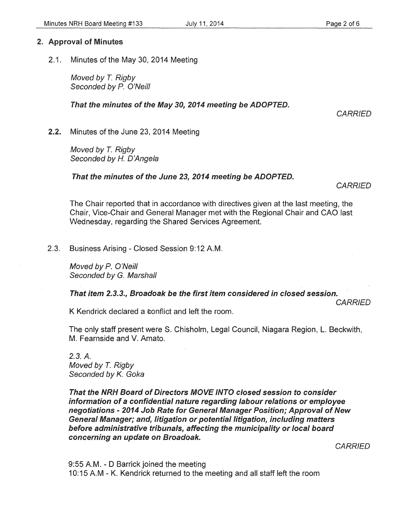### 2. Approval of Minutes

2.1. Minutes of the May 30, 2014 Meeting

Moved by *T.* Rigby Seconded by P. O'Neill

#### That the minutes of the May 30, 2014 meeting be ADOPTED.

**CARRIED** 

2.2. Minutes of the June 23, 2014 Meeting

Moved by T. Rigby Seconded by *H.* D'Angela

That the minutes of the June 23, 2014 meeting be ADOPTED.

**CARRIED** 

The Chair reported that in accordance with directives given at the last meeting, the Chair, Vice-Chair and General Manager met with the Regional Chair and CAO last Wednesday, regarding the Shared Services Agreement.

2.3. Business Arising- Closed Session 9:12A.M.

Moved by P. O'Neill Seconded by G. Marshall

That item 2.3.3., Broadoak be the first item considered in closed session.

**CARRIED** 

K Kendrick declared a conflict and left the room.

The only staff present were S. Chisholm, Legal Council, Niagara Region, L. Beckwith, M. Fearnside and V. Amato.

*2.3.* A. Moved by *T.* Rigby Seconded by K. Goka

That the NRH Board of Directors MOVE INTO closed session to consider information of a confidential nature regarding labour relations or employee negotiations- 2014 Job Rate for General Manager Position; Approval of New General Manager; and, litigation or potential litigation, including matters before administrative tribunals, affecting the municipality or local board concerning an update on Broadoak.

**CARRIED** 

9:55A.M.- D Barrick joined the meeting 10:15 A.M- K. Kendrick returned to the meeting and all staff left the room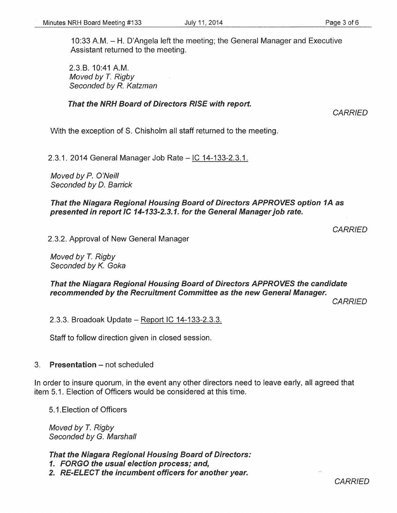10:33 A.M.- H. D'Angela left the meeting; the General Manager and Executive Assistant returned to the meeting.

2.3.8. 10:41 A.M. Moved by T. Rigby Seconded by R. Katzman

#### That the NRH Board of Directors RISE with report.

**CARRIED** 

With the exception of S. Chisholm all staff returned to the meeting.

2.3.1. 2014 General Manager Job Rate- IC 14-133-2.3.1.

Moved by P. O'Neill Seconded by D. Barrick

That the Niagara Regional Housing Board of Directors APPROVES option 1A as presented in report IC 14-133-2.3.1. for the General Manager job rate.

**CARRIED** 

2.3.2. Approval of New General Manager

Moved by *T.* Rigby Seconded by K. Goka

That the Niagara Regional Housing Board of Directors APPROVES the candidate recommended by the Recruitment Committee as the new General Manager.

**CARRIED** 

2.3.3. Broadoak Update - Report IC 14-133-2.3.3.

Staff to follow direction given in closed session.

#### 3. Presentation - not scheduled

In order to insure quorum, in the event any other directors need to leave early, all agreed that item 5.1. Election of Officers would be considered at this time.

5.1.Eiection of Officers

Moved by T. Rigby Seconded by G. Marshall

That the Niagara Regional Housing Board of Directors:

1. FORGO the usual election process; and,

2. RE-ELECT the incumbent officers for another year.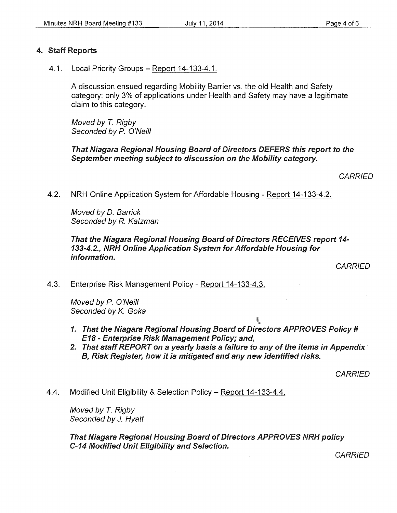#### 4. Staff Reports

4.1. Local Priority Groups- Report 14-133-4.1.

A discussion ensued regarding Mobility Barrier vs. the old Health and Safety category; only 3% of applications under Health and Safety may have a legitimate claim to this category.

Moved by *T.* Rigby Seconded by P. O'Neill

That Niagara Regional Housing Board of Directors DEFERS this report to the September meeting subject to discussion on the Mobility category.

**CARRIED** 

4.2. NRH Online Application System for Affordable Housing- Report 14-133-4.2.

Moved by D. Barrick Seconded by R. Katzman

#### That the Niagara Regional Housing Board of Directors RECEIVES report 14- 133-4.2., NRH Online Application System for Affordable Housing for information.

**CARRIED** 

4.3. Enterprise Risk Management Policy- Report 14-133-4.3.

Moved by P. O'Neill Seconded by K. Goka

- 1. That the Niagara Regional Housing Board of Directors APPROVES Policy # E18 - Enterprise Risk Management Policy; and,
- 2. That staff REPORT on a yearly basis a failure to any of the items in Appendix B, Risk Register, how it is mitigated and any new identified risks.

**BEA** 

**CARRIED** 

4.4. Modified Unit Eligibility & Selection Policy- Report 14-133-4.4.

Moved by T. Riabv Seconded by *J.* Hyatt

That Niagara Regional Housing Board of Directors APPROVES NRH policy C-14 Modified Unit Eligibility and Selection.

**CARRIED**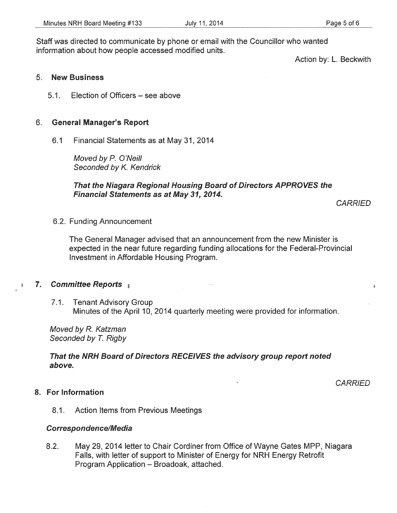Action by: L. Beckwith

#### 5. New Business

5.1. Election of Officers – see above

#### 6. General Manager's Report

6.1 Financial Statements as at May 31, 2014

Moved by *P.* O'Neill Seconded by K. Kendrick

#### That the Niagara Regional Housing Board of Directors APPROVES the Financial Statements as at May 31, 2014.

**CARRIED** 

6.2. Funding Announcement

The General Manager advised that an announcement from the new Minister is expected in the near future regarding funding allocations for the Federal-Provincial Investment in Affordable Housing Program.

#### 7. Committee Reports 素

7.1. Tenant Advisory Group Minutes of the April 10, 2014 quarterly meeting were provided for information.

Moved by R. Katzman Seconded by T. Rigby

#### That the NRH Board of Directors RECEIVES the advisory group report noted above.

**CARRIED** 

#### 8. For Information

8.1. Action Items from Previous Meetings

#### Correspondence/Media

8.2. May 29, 2014 letter to Chair Cordiner from Office of Wayne Gates MPP, Niagara Falls, with letter of support to Minister of Energy for NRH Energy Retrofit Program Application- Broadoak, attached.